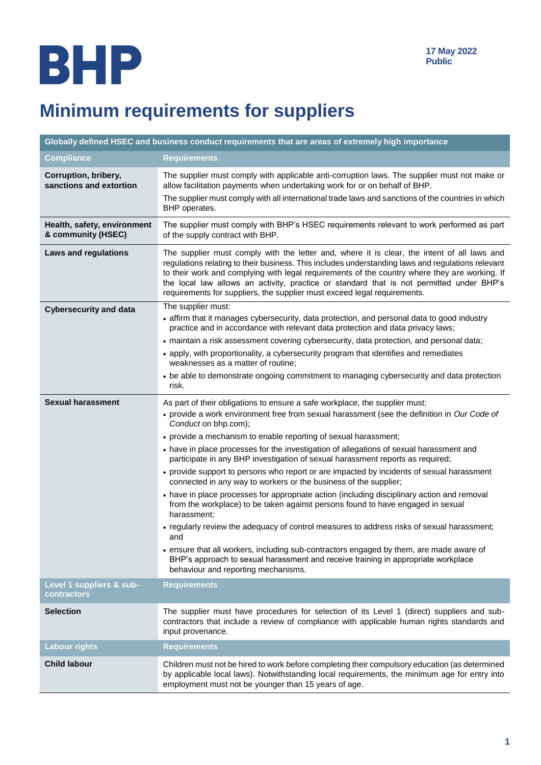# **Minimum requirements for suppliers**

| Globally defined HSEC and business conduct requirements that are areas of extremely high importance |                                                                                                                                                                                                                                                                                                                                                                                                                                                                                                                                                                                                                                                                                                                                                                                                                                                                                                                                                                                                                                                                                                                                                  |
|-----------------------------------------------------------------------------------------------------|--------------------------------------------------------------------------------------------------------------------------------------------------------------------------------------------------------------------------------------------------------------------------------------------------------------------------------------------------------------------------------------------------------------------------------------------------------------------------------------------------------------------------------------------------------------------------------------------------------------------------------------------------------------------------------------------------------------------------------------------------------------------------------------------------------------------------------------------------------------------------------------------------------------------------------------------------------------------------------------------------------------------------------------------------------------------------------------------------------------------------------------------------|
| <b>Compliance</b>                                                                                   | <b>Requirements</b>                                                                                                                                                                                                                                                                                                                                                                                                                                                                                                                                                                                                                                                                                                                                                                                                                                                                                                                                                                                                                                                                                                                              |
| Corruption, bribery,<br>sanctions and extortion                                                     | The supplier must comply with applicable anti-corruption laws. The supplier must not make or<br>allow facilitation payments when undertaking work for or on behalf of BHP.<br>The supplier must comply with all international trade laws and sanctions of the countries in which                                                                                                                                                                                                                                                                                                                                                                                                                                                                                                                                                                                                                                                                                                                                                                                                                                                                 |
|                                                                                                     | BHP operates.                                                                                                                                                                                                                                                                                                                                                                                                                                                                                                                                                                                                                                                                                                                                                                                                                                                                                                                                                                                                                                                                                                                                    |
| Health, safety, environment<br>& community (HSEC)                                                   | The supplier must comply with BHP's HSEC requirements relevant to work performed as part<br>of the supply contract with BHP.                                                                                                                                                                                                                                                                                                                                                                                                                                                                                                                                                                                                                                                                                                                                                                                                                                                                                                                                                                                                                     |
| <b>Laws and regulations</b>                                                                         | The supplier must comply with the letter and, where it is clear, the intent of all laws and<br>regulations relating to their business. This includes understanding laws and regulations relevant<br>to their work and complying with legal requirements of the country where they are working. If<br>the local law allows an activity, practice or standard that is not permitted under BHP's<br>requirements for suppliers, the supplier must exceed legal requirements.                                                                                                                                                                                                                                                                                                                                                                                                                                                                                                                                                                                                                                                                        |
| <b>Cybersecurity and data</b>                                                                       | The supplier must:<br>• affirm that it manages cybersecurity, data protection, and personal data to good industry<br>practice and in accordance with relevant data protection and data privacy laws;<br>• maintain a risk assessment covering cybersecurity, data protection, and personal data;<br>• apply, with proportionality, a cybersecurity program that identifies and remediates<br>weaknesses as a matter of routine:<br>• be able to demonstrate ongoing commitment to managing cybersecurity and data protection<br>risk.                                                                                                                                                                                                                                                                                                                                                                                                                                                                                                                                                                                                            |
| <b>Sexual harassment</b>                                                                            | As part of their obligations to ensure a safe workplace, the supplier must:<br>• provide a work environment free from sexual harassment (see the definition in Our Code of<br>Conduct on bhp.com);<br>• provide a mechanism to enable reporting of sexual harassment;<br>• have in place processes for the investigation of allegations of sexual harassment and<br>participate in any BHP investigation of sexual harassment reports as required;<br>• provide support to persons who report or are impacted by incidents of sexual harassment<br>connected in any way to workers or the business of the supplier;<br>• have in place processes for appropriate action (including disciplinary action and removal<br>from the workplace) to be taken against persons found to have engaged in sexual<br>harassment;<br>• regularly review the adequacy of control measures to address risks of sexual harassment;<br>and<br>• ensure that all workers, including sub-contractors engaged by them, are made aware of<br>BHP's approach to sexual harassment and receive training in appropriate workplace<br>behaviour and reporting mechanisms. |
| Level 1 suppliers & sub-<br>contractors                                                             | <b>Requirements</b>                                                                                                                                                                                                                                                                                                                                                                                                                                                                                                                                                                                                                                                                                                                                                                                                                                                                                                                                                                                                                                                                                                                              |
| <b>Selection</b>                                                                                    | The supplier must have procedures for selection of its Level 1 (direct) suppliers and sub-<br>contractors that include a review of compliance with applicable human rights standards and<br>input provenance.                                                                                                                                                                                                                                                                                                                                                                                                                                                                                                                                                                                                                                                                                                                                                                                                                                                                                                                                    |
| <b>Labour rights</b>                                                                                | <b>Requirements</b>                                                                                                                                                                                                                                                                                                                                                                                                                                                                                                                                                                                                                                                                                                                                                                                                                                                                                                                                                                                                                                                                                                                              |
| <b>Child labour</b>                                                                                 | Children must not be hired to work before completing their compulsory education (as determined<br>by applicable local laws). Notwithstanding local requirements, the minimum age for entry into<br>employment must not be younger than 15 years of age.                                                                                                                                                                                                                                                                                                                                                                                                                                                                                                                                                                                                                                                                                                                                                                                                                                                                                          |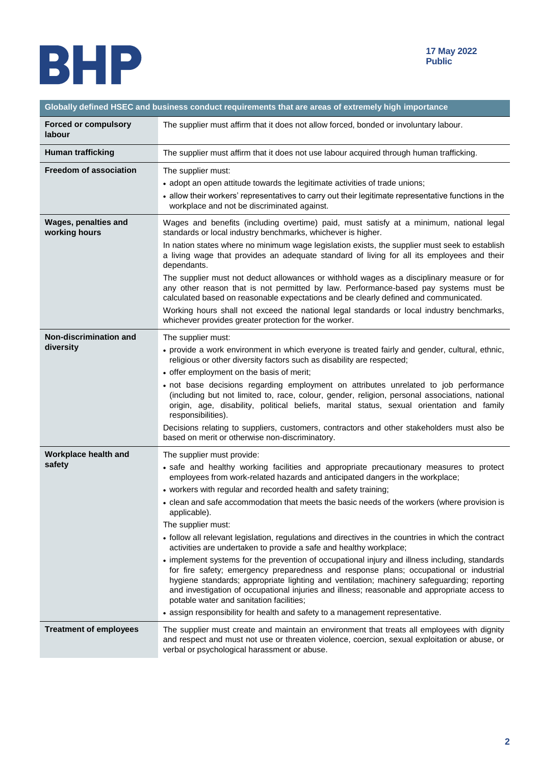

| Globally defined HSEC and business conduct requirements that are areas of extremely high importance |                                                                                                                                                                                                                                                                                                                                                                                                                                    |
|-----------------------------------------------------------------------------------------------------|------------------------------------------------------------------------------------------------------------------------------------------------------------------------------------------------------------------------------------------------------------------------------------------------------------------------------------------------------------------------------------------------------------------------------------|
| <b>Forced or compulsory</b><br><b>labour</b>                                                        | The supplier must affirm that it does not allow forced, bonded or involuntary labour.                                                                                                                                                                                                                                                                                                                                              |
| <b>Human trafficking</b>                                                                            | The supplier must affirm that it does not use labour acquired through human trafficking.                                                                                                                                                                                                                                                                                                                                           |
| <b>Freedom of association</b>                                                                       | The supplier must:                                                                                                                                                                                                                                                                                                                                                                                                                 |
|                                                                                                     | • adopt an open attitude towards the legitimate activities of trade unions;                                                                                                                                                                                                                                                                                                                                                        |
|                                                                                                     | • allow their workers' representatives to carry out their legitimate representative functions in the<br>workplace and not be discriminated against.                                                                                                                                                                                                                                                                                |
| Wages, penalties and<br>working hours                                                               | Wages and benefits (including overtime) paid, must satisfy at a minimum, national legal<br>standards or local industry benchmarks, whichever is higher.                                                                                                                                                                                                                                                                            |
|                                                                                                     | In nation states where no minimum wage legislation exists, the supplier must seek to establish<br>a living wage that provides an adequate standard of living for all its employees and their<br>dependants.                                                                                                                                                                                                                        |
|                                                                                                     | The supplier must not deduct allowances or withhold wages as a disciplinary measure or for<br>any other reason that is not permitted by law. Performance-based pay systems must be<br>calculated based on reasonable expectations and be clearly defined and communicated.                                                                                                                                                         |
|                                                                                                     | Working hours shall not exceed the national legal standards or local industry benchmarks,<br>whichever provides greater protection for the worker.                                                                                                                                                                                                                                                                                 |
| Non-discrimination and                                                                              | The supplier must:                                                                                                                                                                                                                                                                                                                                                                                                                 |
| diversity                                                                                           | • provide a work environment in which everyone is treated fairly and gender, cultural, ethnic,<br>religious or other diversity factors such as disability are respected;                                                                                                                                                                                                                                                           |
|                                                                                                     | • offer employment on the basis of merit;                                                                                                                                                                                                                                                                                                                                                                                          |
|                                                                                                     | · not base decisions regarding employment on attributes unrelated to job performance<br>(including but not limited to, race, colour, gender, religion, personal associations, national<br>origin, age, disability, political beliefs, marital status, sexual orientation and family<br>responsibilities).                                                                                                                          |
|                                                                                                     | Decisions relating to suppliers, customers, contractors and other stakeholders must also be<br>based on merit or otherwise non-discriminatory.                                                                                                                                                                                                                                                                                     |
| Workplace health and                                                                                | The supplier must provide:                                                                                                                                                                                                                                                                                                                                                                                                         |
| safety                                                                                              | • safe and healthy working facilities and appropriate precautionary measures to protect<br>employees from work-related hazards and anticipated dangers in the workplace;                                                                                                                                                                                                                                                           |
|                                                                                                     | • workers with regular and recorded health and safety training;                                                                                                                                                                                                                                                                                                                                                                    |
|                                                                                                     | • clean and safe accommodation that meets the basic needs of the workers (where provision is<br>applicable).                                                                                                                                                                                                                                                                                                                       |
|                                                                                                     | The supplier must:                                                                                                                                                                                                                                                                                                                                                                                                                 |
|                                                                                                     | • follow all relevant legislation, regulations and directives in the countries in which the contract<br>activities are undertaken to provide a safe and healthy workplace;                                                                                                                                                                                                                                                         |
|                                                                                                     | • implement systems for the prevention of occupational injury and illness including, standards<br>for fire safety; emergency preparedness and response plans; occupational or industrial<br>hygiene standards; appropriate lighting and ventilation; machinery safeguarding; reporting<br>and investigation of occupational injuries and illness; reasonable and appropriate access to<br>potable water and sanitation facilities; |
|                                                                                                     | • assign responsibility for health and safety to a management representative.                                                                                                                                                                                                                                                                                                                                                      |
| <b>Treatment of employees</b>                                                                       | The supplier must create and maintain an environment that treats all employees with dignity<br>and respect and must not use or threaten violence, coercion, sexual exploitation or abuse, or<br>verbal or psychological harassment or abuse.                                                                                                                                                                                       |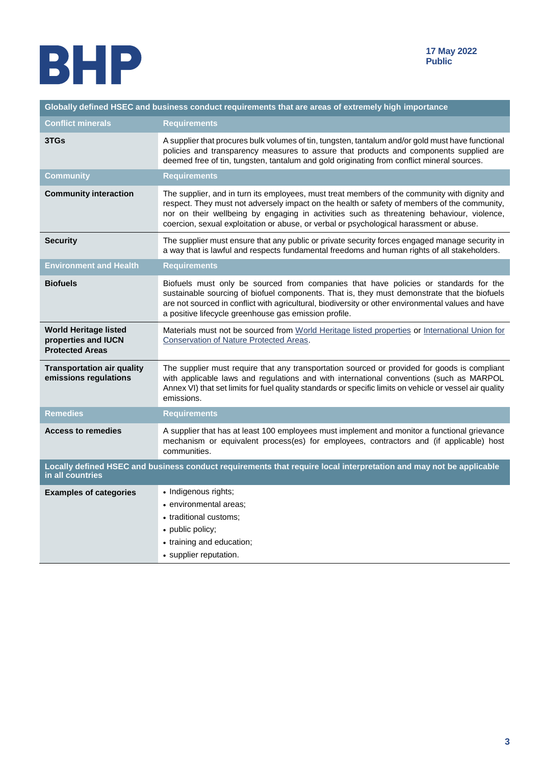

| Globally defined HSEC and business conduct requirements that are areas of extremely high importance                                    |                                                                                                                                                                                                                                                                                                                                                                                       |
|----------------------------------------------------------------------------------------------------------------------------------------|---------------------------------------------------------------------------------------------------------------------------------------------------------------------------------------------------------------------------------------------------------------------------------------------------------------------------------------------------------------------------------------|
| <b>Conflict minerals</b>                                                                                                               | <b>Requirements</b>                                                                                                                                                                                                                                                                                                                                                                   |
| 3TGs                                                                                                                                   | A supplier that procures bulk volumes of tin, tungsten, tantalum and/or gold must have functional<br>policies and transparency measures to assure that products and components supplied are<br>deemed free of tin, tungsten, tantalum and gold originating from conflict mineral sources.                                                                                             |
| Community                                                                                                                              | <b>Requirements</b>                                                                                                                                                                                                                                                                                                                                                                   |
| <b>Community interaction</b>                                                                                                           | The supplier, and in turn its employees, must treat members of the community with dignity and<br>respect. They must not adversely impact on the health or safety of members of the community,<br>nor on their wellbeing by engaging in activities such as threatening behaviour, violence,<br>coercion, sexual exploitation or abuse, or verbal or psychological harassment or abuse. |
| <b>Security</b>                                                                                                                        | The supplier must ensure that any public or private security forces engaged manage security in<br>a way that is lawful and respects fundamental freedoms and human rights of all stakeholders.                                                                                                                                                                                        |
| <b>Environment and Health</b>                                                                                                          | <b>Requirements</b>                                                                                                                                                                                                                                                                                                                                                                   |
| <b>Biofuels</b>                                                                                                                        | Biofuels must only be sourced from companies that have policies or standards for the<br>sustainable sourcing of biofuel components. That is, they must demonstrate that the biofuels<br>are not sourced in conflict with agricultural, biodiversity or other environmental values and have<br>a positive lifecycle greenhouse gas emission profile.                                   |
| <b>World Heritage listed</b><br>properties and IUCN<br><b>Protected Areas</b>                                                          | Materials must not be sourced from World Heritage listed properties or International Union for<br>Conservation of Nature Protected Areas.                                                                                                                                                                                                                                             |
| <b>Transportation air quality</b><br>emissions regulations                                                                             | The supplier must require that any transportation sourced or provided for goods is compliant<br>with applicable laws and regulations and with international conventions (such as MARPOL<br>Annex VI) that set limits for fuel quality standards or specific limits on vehicle or vessel air quality<br>emissions.                                                                     |
| <b>Remedies</b>                                                                                                                        | <b>Requirements</b>                                                                                                                                                                                                                                                                                                                                                                   |
| <b>Access to remedies</b>                                                                                                              | A supplier that has at least 100 employees must implement and monitor a functional grievance<br>mechanism or equivalent process(es) for employees, contractors and (if applicable) host<br>communities.                                                                                                                                                                               |
| Locally defined HSEC and business conduct requirements that require local interpretation and may not be applicable<br>in all countries |                                                                                                                                                                                                                                                                                                                                                                                       |
| <b>Examples of categories</b>                                                                                                          | • Indigenous rights;<br>• environmental areas;<br>• traditional customs;<br>• public policy;<br>• training and education;<br>• supplier reputation.                                                                                                                                                                                                                                   |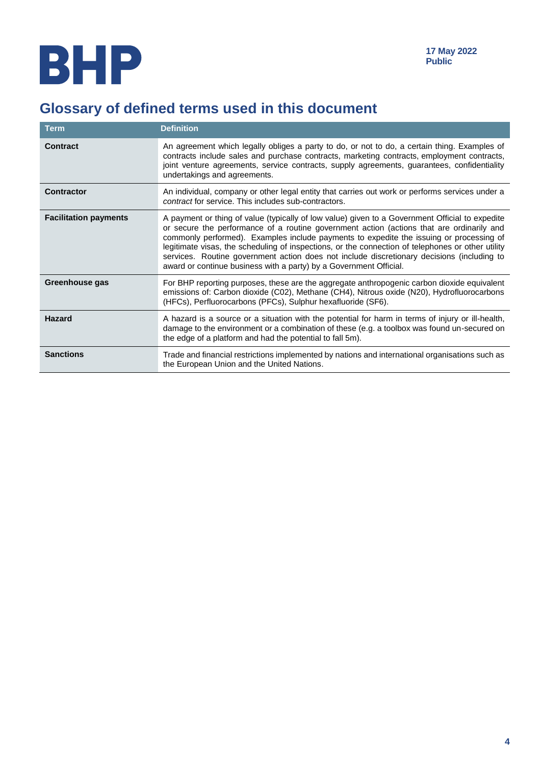## **Glossary of defined terms used in this document**

| <b>Term</b>                  | <b>Definition</b>                                                                                                                                                                                                                                                                                                                                                                                                                                                                                                                                                |
|------------------------------|------------------------------------------------------------------------------------------------------------------------------------------------------------------------------------------------------------------------------------------------------------------------------------------------------------------------------------------------------------------------------------------------------------------------------------------------------------------------------------------------------------------------------------------------------------------|
| <b>Contract</b>              | An agreement which legally obliges a party to do, or not to do, a certain thing. Examples of<br>contracts include sales and purchase contracts, marketing contracts, employment contracts,<br>joint venture agreements, service contracts, supply agreements, guarantees, confidentiality<br>undertakings and agreements.                                                                                                                                                                                                                                        |
| <b>Contractor</b>            | An individual, company or other legal entity that carries out work or performs services under a<br>contract for service. This includes sub-contractors.                                                                                                                                                                                                                                                                                                                                                                                                          |
| <b>Facilitation payments</b> | A payment or thing of value (typically of low value) given to a Government Official to expedite<br>or secure the performance of a routine government action (actions that are ordinarily and<br>commonly performed). Examples include payments to expedite the issuing or processing of<br>legitimate visas, the scheduling of inspections, or the connection of telephones or other utility<br>services. Routine government action does not include discretionary decisions (including to<br>award or continue business with a party) by a Government Official. |
| Greenhouse gas               | For BHP reporting purposes, these are the aggregate anthropogenic carbon dioxide equivalent<br>emissions of: Carbon dioxide (C02), Methane (CH4), Nitrous oxide (N20), Hydrofluorocarbons<br>(HFCs), Perfluorocarbons (PFCs), Sulphur hexafluoride (SF6).                                                                                                                                                                                                                                                                                                        |
| <b>Hazard</b>                | A hazard is a source or a situation with the potential for harm in terms of injury or ill-health,<br>damage to the environment or a combination of these (e.g. a toolbox was found un-secured on<br>the edge of a platform and had the potential to fall 5m).                                                                                                                                                                                                                                                                                                    |
| <b>Sanctions</b>             | Trade and financial restrictions implemented by nations and international organisations such as<br>the European Union and the United Nations.                                                                                                                                                                                                                                                                                                                                                                                                                    |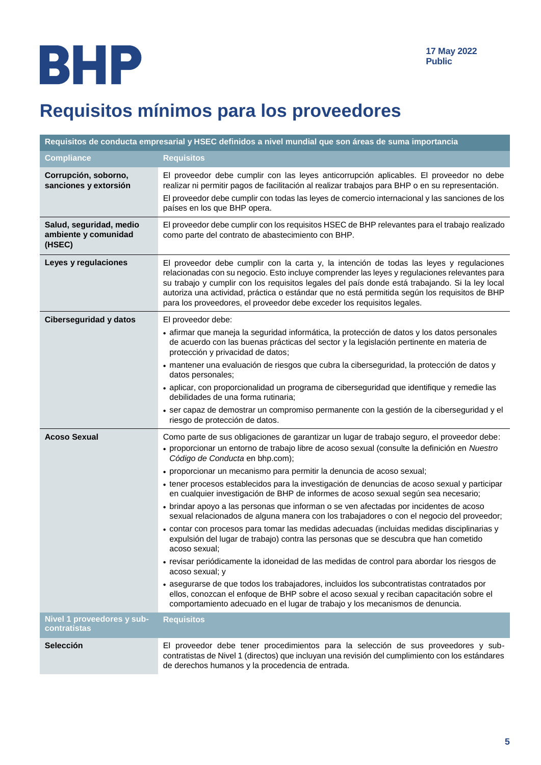## **Requisitos mínimos para los proveedores**

| Requisitos de conducta empresarial y HSEC definidos a nivel mundial que son áreas de suma importancia |                                                                                                                                                                                                                                                                                                                                                                                                                                                                          |
|-------------------------------------------------------------------------------------------------------|--------------------------------------------------------------------------------------------------------------------------------------------------------------------------------------------------------------------------------------------------------------------------------------------------------------------------------------------------------------------------------------------------------------------------------------------------------------------------|
| <b>Compliance</b>                                                                                     | <b>Requisitos</b>                                                                                                                                                                                                                                                                                                                                                                                                                                                        |
| Corrupción, soborno,<br>sanciones y extorsión                                                         | El proveedor debe cumplir con las leyes anticorrupción aplicables. El proveedor no debe<br>realizar ni permitir pagos de facilitación al realizar trabajos para BHP o en su representación.<br>El proveedor debe cumplir con todas las leyes de comercio internacional y las sanciones de los<br>países en los que BHP opera.                                                                                                                                            |
| Salud, seguridad, medio<br>ambiente y comunidad<br>(HSEC)                                             | El proveedor debe cumplir con los requisitos HSEC de BHP relevantes para el trabajo realizado<br>como parte del contrato de abastecimiento con BHP.                                                                                                                                                                                                                                                                                                                      |
| Leyes y regulaciones                                                                                  | El proveedor debe cumplir con la carta y, la intención de todas las leyes y regulaciones<br>relacionadas con su negocio. Esto incluye comprender las leyes y regulaciones relevantes para<br>su trabajo y cumplir con los requisitos legales del país donde está trabajando. Si la ley local<br>autoriza una actividad, práctica o estándar que no está permitida según los requisitos de BHP<br>para los proveedores, el proveedor debe exceder los requisitos legales. |
| <b>Ciberseguridad y datos</b>                                                                         | El proveedor debe:                                                                                                                                                                                                                                                                                                                                                                                                                                                       |
|                                                                                                       | · afirmar que maneja la seguridad informática, la protección de datos y los datos personales<br>de acuerdo con las buenas prácticas del sector y la legislación pertinente en materia de<br>protección y privacidad de datos;                                                                                                                                                                                                                                            |
|                                                                                                       | · mantener una evaluación de riesgos que cubra la ciberseguridad, la protección de datos y<br>datos personales;                                                                                                                                                                                                                                                                                                                                                          |
|                                                                                                       | · aplicar, con proporcionalidad un programa de ciberseguridad que identifique y remedie las<br>debilidades de una forma rutinaria;                                                                                                                                                                                                                                                                                                                                       |
|                                                                                                       | · ser capaz de demostrar un compromiso permanente con la gestión de la ciberseguridad y el<br>riesgo de protección de datos.                                                                                                                                                                                                                                                                                                                                             |
| <b>Acoso Sexual</b>                                                                                   | Como parte de sus obligaciones de garantizar un lugar de trabajo seguro, el proveedor debe:<br>· proporcionar un entorno de trabajo libre de acoso sexual (consulte la definición en Nuestro<br>Código de Conducta en bhp.com);                                                                                                                                                                                                                                          |
|                                                                                                       | • proporcionar un mecanismo para permitir la denuncia de acoso sexual;                                                                                                                                                                                                                                                                                                                                                                                                   |
|                                                                                                       | · tener procesos establecidos para la investigación de denuncias de acoso sexual y participar<br>en cualquier investigación de BHP de informes de acoso sexual según sea necesario;                                                                                                                                                                                                                                                                                      |
|                                                                                                       | · brindar apoyo a las personas que informan o se ven afectadas por incidentes de acoso<br>sexual relacionados de alguna manera con los trabajadores o con el negocio del proveedor;                                                                                                                                                                                                                                                                                      |
|                                                                                                       | · contar con procesos para tomar las medidas adecuadas (incluidas medidas disciplinarias y<br>expulsión del lugar de trabajo) contra las personas que se descubra que han cometido<br>acoso sexual;                                                                                                                                                                                                                                                                      |
|                                                                                                       | · revisar periódicamente la idoneidad de las medidas de control para abordar los riesgos de<br>acoso sexual; y                                                                                                                                                                                                                                                                                                                                                           |
|                                                                                                       | • asegurarse de que todos los trabajadores, incluidos los subcontratistas contratados por<br>ellos, conozcan el enfoque de BHP sobre el acoso sexual y reciban capacitación sobre el<br>comportamiento adecuado en el lugar de trabajo y los mecanismos de denuncia.                                                                                                                                                                                                     |
| Nivel 1 proveedores y sub-<br>contratistas                                                            | <b>Requisitos</b>                                                                                                                                                                                                                                                                                                                                                                                                                                                        |
| <b>Selección</b>                                                                                      | El proveedor debe tener procedimientos para la selección de sus proveedores y sub-<br>contratistas de Nivel 1 (directos) que incluyan una revisión del cumplimiento con los estándares<br>de derechos humanos y la procedencia de entrada.                                                                                                                                                                                                                               |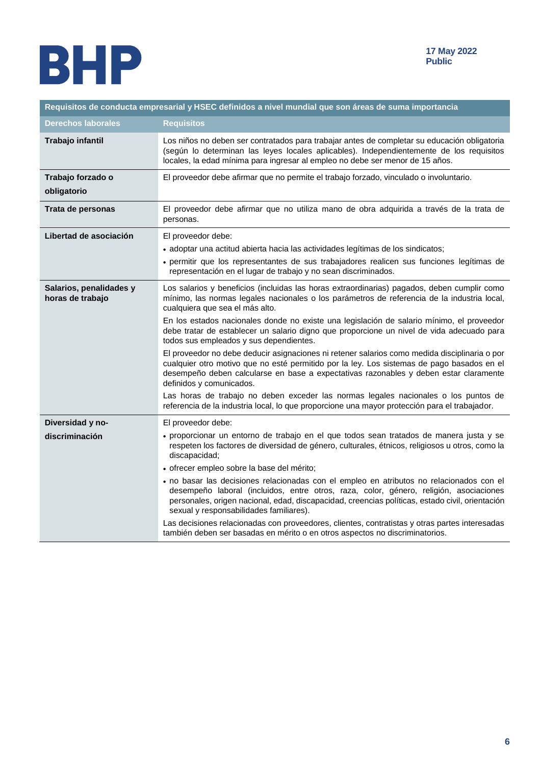

| Requisitos de conducta empresarial y HSEC definidos a nivel mundial que son áreas de suma importancia |                                                                                                                                                                                                                                                                                                                                                                                                                                                                                                                                                                                                                                                                                                                                                                                                                                                                                                                                                                                |
|-------------------------------------------------------------------------------------------------------|--------------------------------------------------------------------------------------------------------------------------------------------------------------------------------------------------------------------------------------------------------------------------------------------------------------------------------------------------------------------------------------------------------------------------------------------------------------------------------------------------------------------------------------------------------------------------------------------------------------------------------------------------------------------------------------------------------------------------------------------------------------------------------------------------------------------------------------------------------------------------------------------------------------------------------------------------------------------------------|
| <b>Derechos laborales</b>                                                                             | <b>Requisitos</b>                                                                                                                                                                                                                                                                                                                                                                                                                                                                                                                                                                                                                                                                                                                                                                                                                                                                                                                                                              |
| Trabajo infantil                                                                                      | Los niños no deben ser contratados para trabajar antes de completar su educación obligatoria<br>(según lo determinan las leyes locales aplicables). Independientemente de los requisitos<br>locales, la edad mínima para ingresar al empleo no debe ser menor de 15 años.                                                                                                                                                                                                                                                                                                                                                                                                                                                                                                                                                                                                                                                                                                      |
| Trabajo forzado o<br>obligatorio                                                                      | El proveedor debe afirmar que no permite el trabajo forzado, vinculado o involuntario.                                                                                                                                                                                                                                                                                                                                                                                                                                                                                                                                                                                                                                                                                                                                                                                                                                                                                         |
| Trata de personas                                                                                     | El proveedor debe afirmar que no utiliza mano de obra adquirida a través de la trata de<br>personas.                                                                                                                                                                                                                                                                                                                                                                                                                                                                                                                                                                                                                                                                                                                                                                                                                                                                           |
| Libertad de asociación                                                                                | El proveedor debe:<br>• adoptar una actitud abierta hacia las actividades legítimas de los sindicatos;<br>• permitir que los representantes de sus trabajadores realicen sus funciones legítimas de<br>representación en el lugar de trabajo y no sean discriminados.                                                                                                                                                                                                                                                                                                                                                                                                                                                                                                                                                                                                                                                                                                          |
| Salarios, penalidades y<br>horas de trabajo                                                           | Los salarios y beneficios (incluidas las horas extraordinarias) pagados, deben cumplir como<br>mínimo, las normas legales nacionales o los parámetros de referencia de la industria local,<br>cualquiera que sea el más alto.<br>En los estados nacionales donde no existe una legislación de salario mínimo, el proveedor<br>debe tratar de establecer un salario digno que proporcione un nivel de vida adecuado para<br>todos sus empleados y sus dependientes.<br>El proveedor no debe deducir asignaciones ni retener salarios como medida disciplinaria o por<br>cualquier otro motivo que no esté permitido por la ley. Los sistemas de pago basados en el<br>desempeño deben calcularse en base a expectativas razonables y deben estar claramente<br>definidos y comunicados.<br>Las horas de trabajo no deben exceder las normas legales nacionales o los puntos de<br>referencia de la industria local, lo que proporcione una mayor protección para el trabajador. |
| Diversidad y no-<br>discriminación                                                                    | El proveedor debe:<br>· proporcionar un entorno de trabajo en el que todos sean tratados de manera justa y se<br>respeten los factores de diversidad de género, culturales, étnicos, religiosos u otros, como la<br>discapacidad;<br>· ofrecer empleo sobre la base del mérito;<br>· no basar las decisiones relacionadas con el empleo en atributos no relacionados con el<br>desempeño laboral (incluidos, entre otros, raza, color, género, religión, asociaciones<br>personales, origen nacional, edad, discapacidad, creencias políticas, estado civil, orientación<br>sexual y responsabilidades familiares).<br>Las decisiones relacionadas con proveedores, clientes, contratistas y otras partes interesadas<br>también deben ser basadas en mérito o en otros aspectos no discriminatorios.                                                                                                                                                                          |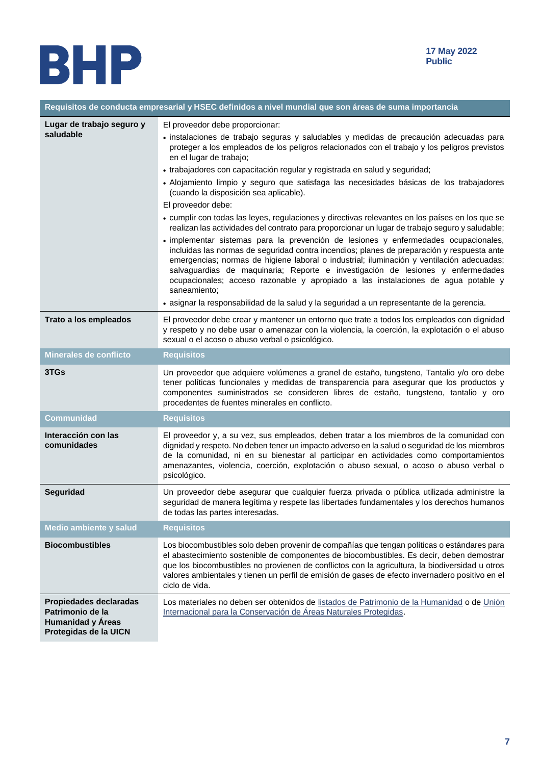

| Requisitos de conducta empresarial y HSEC definidos a nivel mundial que son áreas de suma importancia |                                                                                                                                                                                                                                                                                                                                                                                                                                                                                                                                                                                                                                                                                                                                                                                                                                                                                                                                                                                                                                                                                                                                                                                |
|-------------------------------------------------------------------------------------------------------|--------------------------------------------------------------------------------------------------------------------------------------------------------------------------------------------------------------------------------------------------------------------------------------------------------------------------------------------------------------------------------------------------------------------------------------------------------------------------------------------------------------------------------------------------------------------------------------------------------------------------------------------------------------------------------------------------------------------------------------------------------------------------------------------------------------------------------------------------------------------------------------------------------------------------------------------------------------------------------------------------------------------------------------------------------------------------------------------------------------------------------------------------------------------------------|
| Lugar de trabajo seguro y<br>saludable                                                                | El proveedor debe proporcionar:<br>· instalaciones de trabajo seguras y saludables y medidas de precaución adecuadas para<br>proteger a los empleados de los peligros relacionados con el trabajo y los peligros previstos<br>en el lugar de trabajo;<br>• trabajadores con capacitación regular y registrada en salud y seguridad;<br>· Alojamiento limpio y seguro que satisfaga las necesidades básicas de los trabajadores<br>(cuando la disposición sea aplicable).<br>El proveedor debe:<br>• cumplir con todas las leyes, regulaciones y directivas relevantes en los países en los que se<br>realizan las actividades del contrato para proporcionar un lugar de trabajo seguro y saludable;<br>· implementar sistemas para la prevención de lesiones y enfermedades ocupacionales,<br>incluidas las normas de seguridad contra incendios; planes de preparación y respuesta ante<br>emergencias; normas de higiene laboral o industrial; iluminación y ventilación adecuadas;<br>salvaguardias de maquinaria; Reporte e investigación de lesiones y enfermedades<br>ocupacionales; acceso razonable y apropiado a las instalaciones de agua potable y<br>saneamiento: |
|                                                                                                       | · asignar la responsabilidad de la salud y la seguridad a un representante de la gerencia.                                                                                                                                                                                                                                                                                                                                                                                                                                                                                                                                                                                                                                                                                                                                                                                                                                                                                                                                                                                                                                                                                     |
| Trato a los empleados                                                                                 | El proveedor debe crear y mantener un entorno que trate a todos los empleados con dignidad<br>y respeto y no debe usar o amenazar con la violencia, la coerción, la explotación o el abuso<br>sexual o el acoso o abuso verbal o psicológico.                                                                                                                                                                                                                                                                                                                                                                                                                                                                                                                                                                                                                                                                                                                                                                                                                                                                                                                                  |
| Minerales de conflicto                                                                                | <b>Requisitos</b>                                                                                                                                                                                                                                                                                                                                                                                                                                                                                                                                                                                                                                                                                                                                                                                                                                                                                                                                                                                                                                                                                                                                                              |
| 3TGs                                                                                                  | Un proveedor que adquiere volúmenes a granel de estaño, tungsteno, Tantalio y/o oro debe<br>tener políticas funcionales y medidas de transparencia para asegurar que los productos y<br>componentes suministrados se consideren libres de estaño, tungsteno, tantalio y oro<br>procedentes de fuentes minerales en conflicto.                                                                                                                                                                                                                                                                                                                                                                                                                                                                                                                                                                                                                                                                                                                                                                                                                                                  |
| <b>Communidad</b>                                                                                     | <b>Requisitos</b>                                                                                                                                                                                                                                                                                                                                                                                                                                                                                                                                                                                                                                                                                                                                                                                                                                                                                                                                                                                                                                                                                                                                                              |
| Interacción con las<br>comunidades                                                                    | El proveedor y, a su vez, sus empleados, deben tratar a los miembros de la comunidad con<br>dignidad y respeto. No deben tener un impacto adverso en la salud o seguridad de los miembros<br>de la comunidad, ni en su bienestar al participar en actividades como comportamientos<br>amenazantes, violencia, coerción, explotación o abuso sexual, o acoso o abuso verbal o<br>psicológico.                                                                                                                                                                                                                                                                                                                                                                                                                                                                                                                                                                                                                                                                                                                                                                                   |
| Seguridad                                                                                             | Un proveedor debe asegurar que cualquier fuerza privada o pública utilizada administre la<br>seguridad de manera legítima y respete las libertades fundamentales y los derechos humanos<br>de todas las partes interesadas.                                                                                                                                                                                                                                                                                                                                                                                                                                                                                                                                                                                                                                                                                                                                                                                                                                                                                                                                                    |
| Medio ambiente y salud                                                                                | <b>Requisitos</b>                                                                                                                                                                                                                                                                                                                                                                                                                                                                                                                                                                                                                                                                                                                                                                                                                                                                                                                                                                                                                                                                                                                                                              |
| <b>Biocombustibles</b>                                                                                | Los biocombustibles solo deben provenir de compañías que tengan políticas o estándares para<br>el abastecimiento sostenible de componentes de biocombustibles. Es decir, deben demostrar<br>que los biocombustibles no provienen de conflictos con la agricultura, la biodiversidad u otros<br>valores ambientales y tienen un perfil de emisión de gases de efecto invernadero positivo en el<br>ciclo de vida.                                                                                                                                                                                                                                                                                                                                                                                                                                                                                                                                                                                                                                                                                                                                                               |
| Propiedades declaradas<br>Patrimonio de la<br><b>Humanidad y Áreas</b><br>Protegidas de la UICN       | Los materiales no deben ser obtenidos de listados de Patrimonio de la Humanidad o de Unión<br>Internacional para la Conservación de Áreas Naturales Protegidas.                                                                                                                                                                                                                                                                                                                                                                                                                                                                                                                                                                                                                                                                                                                                                                                                                                                                                                                                                                                                                |